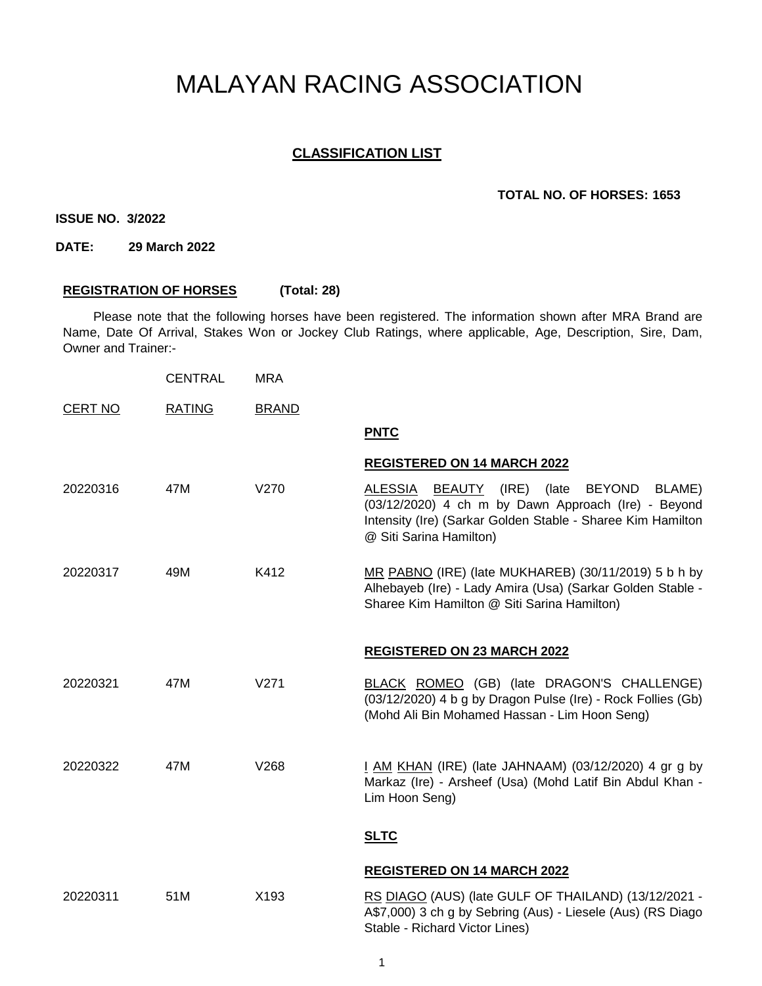# MALAYAN RACING ASSOCIATION

# **CLASSIFICATION LIST**

#### **TOTAL NO. OF HORSES: 1653**

**ISSUE NO. 3/2022**

**DATE: 29 March 2022**

## **REGISTRATION OF HORSES (Total: 28)**

Please note that the following horses have been registered. The information shown after MRA Brand are Name, Date Of Arrival, Stakes Won or Jockey Club Ratings, where applicable, Age, Description, Sire, Dam, Owner and Trainer:-

|                | <b>CENTRAL</b> | <b>MRA</b>       |                                                                                                                                                                                                              |
|----------------|----------------|------------------|--------------------------------------------------------------------------------------------------------------------------------------------------------------------------------------------------------------|
| <b>CERT NO</b> | <b>RATING</b>  | <b>BRAND</b>     |                                                                                                                                                                                                              |
|                |                |                  | <b>PNTC</b>                                                                                                                                                                                                  |
|                |                |                  | <b>REGISTERED ON 14 MARCH 2022</b>                                                                                                                                                                           |
| 20220316       | 47M            | V270             | BEAUTY (IRE)<br>ALESSIA<br>(late<br><b>BEYOND</b><br>BLAME)<br>(03/12/2020) 4 ch m by Dawn Approach (Ire) - Beyond<br>Intensity (Ire) (Sarkar Golden Stable - Sharee Kim Hamilton<br>@ Siti Sarina Hamilton) |
| 20220317       | 49M            | K412             | MR PABNO (IRE) (late MUKHAREB) (30/11/2019) 5 b h by<br>Alhebayeb (Ire) - Lady Amira (Usa) (Sarkar Golden Stable -<br>Sharee Kim Hamilton @ Siti Sarina Hamilton)                                            |
|                |                |                  | <b>REGISTERED ON 23 MARCH 2022</b>                                                                                                                                                                           |
| 20220321       | 47M            | V <sub>271</sub> | BLACK ROMEO (GB) (late DRAGON'S CHALLENGE)<br>(03/12/2020) 4 b g by Dragon Pulse (Ire) - Rock Follies (Gb)<br>(Mohd Ali Bin Mohamed Hassan - Lim Hoon Seng)                                                  |
| 20220322       | 47M            | V268             | I AM KHAN (IRE) (late JAHNAAM) (03/12/2020) 4 gr g by<br>Markaz (Ire) - Arsheef (Usa) (Mohd Latif Bin Abdul Khan -<br>Lim Hoon Seng)                                                                         |
|                |                |                  | <b>SLTC</b>                                                                                                                                                                                                  |
|                |                |                  | <b>REGISTERED ON 14 MARCH 2022</b>                                                                                                                                                                           |
| 20220311       | 51M            | X193             | RS DIAGO (AUS) (late GULF OF THAILAND) (13/12/2021 -<br>A\$7,000) 3 ch g by Sebring (Aus) - Liesele (Aus) (RS Diago<br>Stable - Richard Victor Lines)                                                        |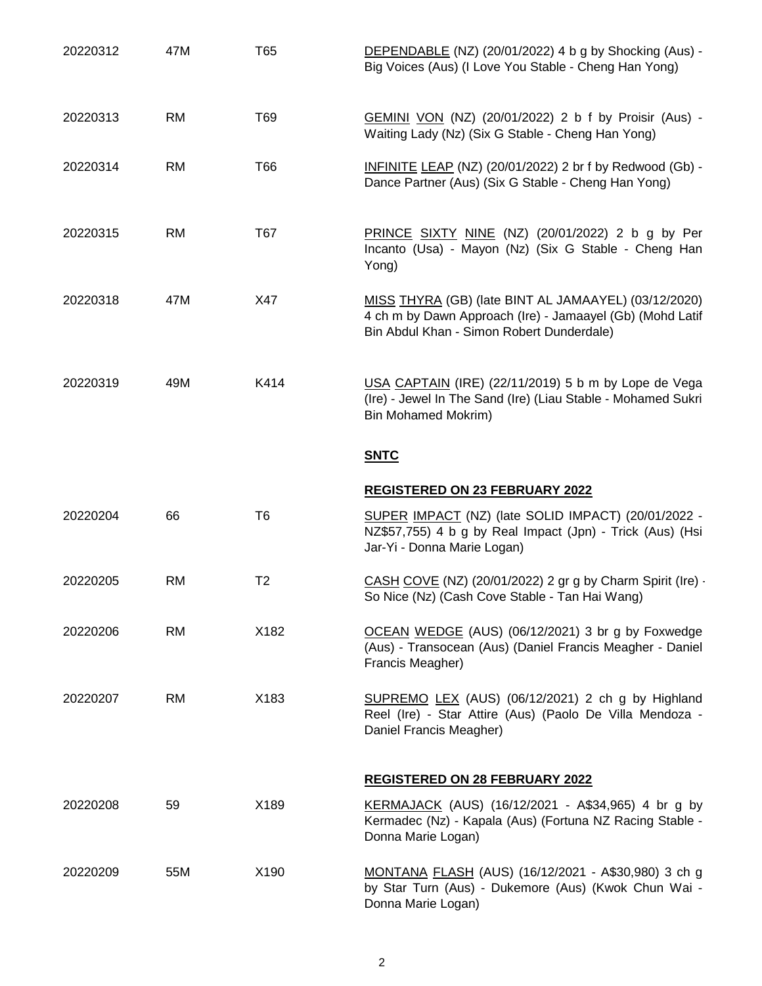| 20220312 | 47M       | T65            | DEPENDABLE (NZ) (20/01/2022) 4 b g by Shocking (Aus) -<br>Big Voices (Aus) (I Love You Stable - Cheng Han Yong)                                                |
|----------|-----------|----------------|----------------------------------------------------------------------------------------------------------------------------------------------------------------|
| 20220313 | <b>RM</b> | T69            | GEMINI VON (NZ) (20/01/2022) 2 b f by Proisir (Aus) -<br>Waiting Lady (Nz) (Six G Stable - Cheng Han Yong)                                                     |
| 20220314 | <b>RM</b> | T66            | INFINITE LEAP (NZ) (20/01/2022) 2 br f by Redwood (Gb) -<br>Dance Partner (Aus) (Six G Stable - Cheng Han Yong)                                                |
| 20220315 | <b>RM</b> | T67            | PRINCE SIXTY NINE (NZ) (20/01/2022) 2 b g by Per<br>Incanto (Usa) - Mayon (Nz) (Six G Stable - Cheng Han<br>Yong)                                              |
| 20220318 | 47M       | X47            | MISS THYRA (GB) (late BINT AL JAMAAYEL) (03/12/2020)<br>4 ch m by Dawn Approach (Ire) - Jamaayel (Gb) (Mohd Latif<br>Bin Abdul Khan - Simon Robert Dunderdale) |
| 20220319 | 49M       | K414           | USA CAPTAIN (IRE) (22/11/2019) 5 b m by Lope de Vega<br>(Ire) - Jewel In The Sand (Ire) (Liau Stable - Mohamed Sukri<br><b>Bin Mohamed Mokrim)</b>             |
|          |           |                | <b>SNTC</b>                                                                                                                                                    |
|          |           |                |                                                                                                                                                                |
|          |           |                | <b>REGISTERED ON 23 FEBRUARY 2022</b>                                                                                                                          |
| 20220204 | 66        | T <sub>6</sub> | SUPER IMPACT (NZ) (late SOLID IMPACT) (20/01/2022 -<br>NZ\$57,755) 4 b g by Real Impact (Jpn) - Trick (Aus) (Hsi<br>Jar-Yi - Donna Marie Logan)                |
| 20220205 | <b>RM</b> | T <sub>2</sub> | CASH COVE (NZ) (20/01/2022) 2 gr g by Charm Spirit (Ire) -<br>So Nice (Nz) (Cash Cove Stable - Tan Hai Wang)                                                   |
| 20220206 | <b>RM</b> | X182           | OCEAN WEDGE (AUS) (06/12/2021) 3 br g by Foxwedge<br>(Aus) - Transocean (Aus) (Daniel Francis Meagher - Daniel<br>Francis Meagher)                             |
| 20220207 | <b>RM</b> | X183           | SUPREMO LEX (AUS) (06/12/2021) 2 ch g by Highland<br>Reel (Ire) - Star Attire (Aus) (Paolo De Villa Mendoza -<br>Daniel Francis Meagher)                       |
|          |           |                | <b>REGISTERED ON 28 FEBRUARY 2022</b>                                                                                                                          |
| 20220208 | 59        | X189           | KERMAJACK (AUS) (16/12/2021 - A\$34,965) 4 br g by<br>Kermadec (Nz) - Kapala (Aus) (Fortuna NZ Racing Stable -<br>Donna Marie Logan)                           |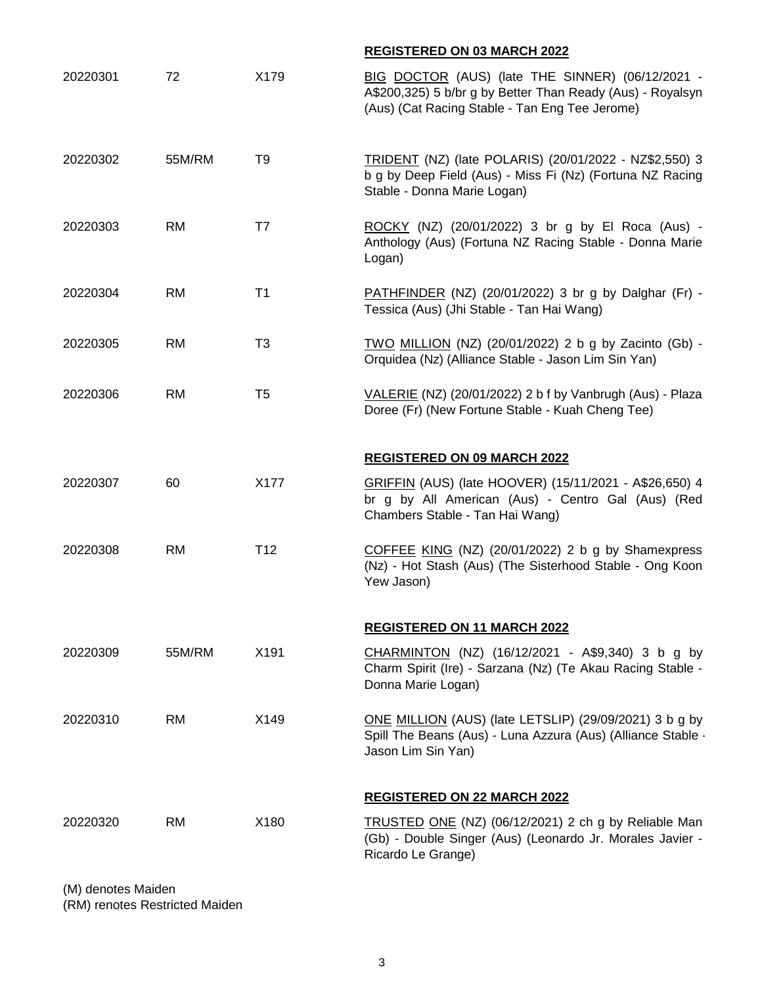|          |           |                 | <b>REGISTERED ON 03 MARCH 2022</b>                                                                                                                               |
|----------|-----------|-----------------|------------------------------------------------------------------------------------------------------------------------------------------------------------------|
| 20220301 | 72        | X179            | BIG DOCTOR (AUS) (late THE SINNER) (06/12/2021 -<br>A\$200,325) 5 b/br g by Better Than Ready (Aus) - Royalsyn<br>(Aus) (Cat Racing Stable - Tan Eng Tee Jerome) |
| 20220302 | 55M/RM    | T <sub>9</sub>  | TRIDENT (NZ) (late POLARIS) (20/01/2022 - NZ\$2,550) 3<br>b g by Deep Field (Aus) - Miss Fi (Nz) (Fortuna NZ Racing<br>Stable - Donna Marie Logan)               |
| 20220303 | <b>RM</b> | T7              | ROCKY (NZ) (20/01/2022) 3 br g by El Roca (Aus) -<br>Anthology (Aus) (Fortuna NZ Racing Stable - Donna Marie<br>Logan)                                           |
| 20220304 | <b>RM</b> | T <sub>1</sub>  | PATHFINDER (NZ) (20/01/2022) 3 br g by Dalghar (Fr) -<br>Tessica (Aus) (Jhi Stable - Tan Hai Wang)                                                               |
| 20220305 | <b>RM</b> | T <sub>3</sub>  | TWO MILLION (NZ) (20/01/2022) 2 b g by Zacinto (Gb) -<br>Orquidea (Nz) (Alliance Stable - Jason Lim Sin Yan)                                                     |
| 20220306 | <b>RM</b> | T <sub>5</sub>  | VALERIE (NZ) (20/01/2022) 2 b f by Vanbrugh (Aus) - Plaza<br>Doree (Fr) (New Fortune Stable - Kuah Cheng Tee)                                                    |
|          |           |                 | <b>REGISTERED ON 09 MARCH 2022</b>                                                                                                                               |
| 20220307 | 60        | X177            | GRIFFIN (AUS) (late HOOVER) (15/11/2021 - A\$26,650) 4<br>br g by All American (Aus) - Centro Gal (Aus) (Red<br>Chambers Stable - Tan Hai Wang)                  |
| 20220308 | <b>RM</b> | T <sub>12</sub> | COFFEE KING (NZ) (20/01/2022) 2 b g by Shamexpress<br>(Nz) - Hot Stash (Aus) (The Sisterhood Stable - Ong Koon<br>Yew Jason)                                     |
|          |           |                 | <b>REGISTERED ON 11 MARCH 2022</b>                                                                                                                               |
| 20220309 | 55M/RM    | X191            | CHARMINTON (NZ) (16/12/2021 - A\$9,340) 3 b g by<br>Charm Spirit (Ire) - Sarzana (Nz) (Te Akau Racing Stable -<br>Donna Marie Logan)                             |
| 20220310 | <b>RM</b> | X149            | ONE MILLION (AUS) (late LETSLIP) (29/09/2021) 3 b g by<br>Spill The Beans (Aus) - Luna Azzura (Aus) (Alliance Stable -<br>Jason Lim Sin Yan)                     |
|          |           |                 | <b>REGISTERED ON 22 MARCH 2022</b>                                                                                                                               |
| 20220320 | <b>RM</b> | X180            | TRUSTED ONE (NZ) (06/12/2021) 2 ch g by Reliable Man<br>(Gb) - Double Singer (Aus) (Leonardo Jr. Morales Javier -<br>Ricardo Le Grange)                          |

(M) denotes Maiden

(RM) renotes Restricted Maiden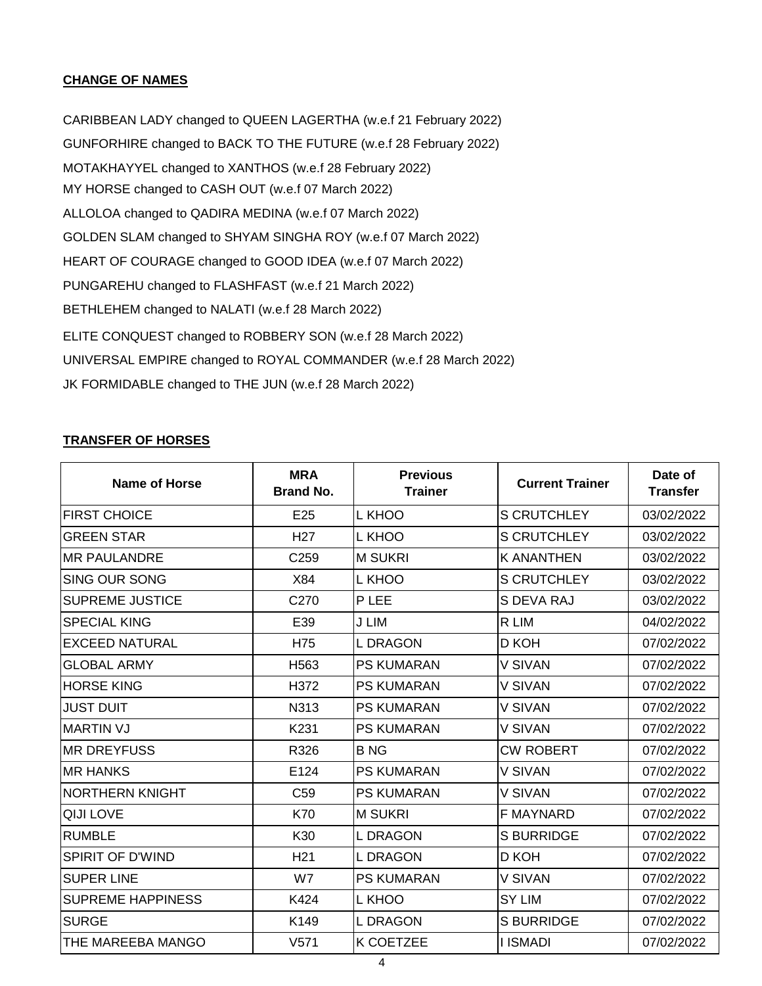## **CHANGE OF NAMES**

JK FORMIDABLE changed to THE JUN (w.e.f 28 March 2022) UNIVERSAL EMPIRE changed to ROYAL COMMANDER (w.e.f 28 March 2022) ELITE CONQUEST changed to ROBBERY SON (w.e.f 28 March 2022) CARIBBEAN LADY changed to QUEEN LAGERTHA (w.e.f 21 February 2022) GUNFORHIRE changed to BACK TO THE FUTURE (w.e.f 28 February 2022) BETHLEHEM changed to NALATI (w.e.f 28 March 2022) MY HORSE changed to CASH OUT (w.e.f 07 March 2022) HEART OF COURAGE changed to GOOD IDEA (w.e.f 07 March 2022) ALLOLOA changed to QADIRA MEDINA (w.e.f 07 March 2022) GOLDEN SLAM changed to SHYAM SINGHA ROY (w.e.f 07 March 2022) MOTAKHAYYEL changed to XANTHOS (w.e.f 28 February 2022) PUNGAREHU changed to FLASHFAST (w.e.f 21 March 2022)

#### **TRANSFER OF HORSES**

| <b>Name of Horse</b>     | <b>MRA</b><br><b>Brand No.</b> | <b>Previous</b><br><b>Trainer</b> | <b>Current Trainer</b> | Date of<br><b>Transfer</b> |
|--------------------------|--------------------------------|-----------------------------------|------------------------|----------------------------|
| <b>FIRST CHOICE</b>      | E <sub>25</sub>                | L KHOO                            | <b>S CRUTCHLEY</b>     | 03/02/2022                 |
| <b>GREEN STAR</b>        | H <sub>27</sub>                | L KHOO                            | <b>S CRUTCHLEY</b>     | 03/02/2022                 |
| <b>MR PAULANDRE</b>      | C259                           | <b>M SUKRI</b>                    | <b>K ANANTHEN</b>      | 03/02/2022                 |
| <b>SING OUR SONG</b>     | X84                            | L KHOO                            | <b>S CRUTCHLEY</b>     | 03/02/2022                 |
| <b>SUPREME JUSTICE</b>   | C270                           | P LEE                             | S DEVA RAJ             | 03/02/2022                 |
| <b>SPECIAL KING</b>      | E39                            | J LIM                             | R LIM                  | 04/02/2022                 |
| <b>EXCEED NATURAL</b>    | H75                            | <b>L DRAGON</b>                   | D KOH                  | 07/02/2022                 |
| <b>GLOBAL ARMY</b>       | H <sub>563</sub>               | <b>PS KUMARAN</b>                 | V SIVAN                | 07/02/2022                 |
| <b>HORSE KING</b>        | H372                           | <b>PS KUMARAN</b>                 | V SIVAN                | 07/02/2022                 |
| <b>JUST DUIT</b>         | N313                           | <b>PS KUMARAN</b>                 | V SIVAN                | 07/02/2022                 |
| <b>MARTIN VJ</b>         | K231                           | <b>PS KUMARAN</b>                 | V SIVAN                | 07/02/2022                 |
| <b>MR DREYFUSS</b>       | R326                           | <b>BNG</b>                        | <b>CW ROBERT</b>       | 07/02/2022                 |
| <b>MR HANKS</b>          | E124                           | <b>PS KUMARAN</b>                 | V SIVAN                | 07/02/2022                 |
| NORTHERN KNIGHT          | C <sub>59</sub>                | <b>PS KUMARAN</b>                 | V SIVAN                | 07/02/2022                 |
| <b>QIJI LOVE</b>         | K70                            | <b>M SUKRI</b>                    | <b>F MAYNARD</b>       | 07/02/2022                 |
| <b>RUMBLE</b>            | K30                            | <b>L DRAGON</b>                   | <b>S BURRIDGE</b>      | 07/02/2022                 |
| <b>SPIRIT OF D'WIND</b>  | H <sub>21</sub>                | <b>L DRAGON</b>                   | D KOH                  | 07/02/2022                 |
| <b>SUPER LINE</b>        | W7                             | <b>PS KUMARAN</b>                 | V SIVAN                | 07/02/2022                 |
| <b>SUPREME HAPPINESS</b> | K424                           | L KHOO                            | <b>SY LIM</b>          | 07/02/2022                 |
| <b>SURGE</b>             | K149                           | <b>L DRAGON</b>                   | <b>S BURRIDGE</b>      | 07/02/2022                 |
| THE MAREEBA MANGO        | V <sub>571</sub>               | <b>K COETZEE</b>                  | <b>I ISMADI</b>        | 07/02/2022                 |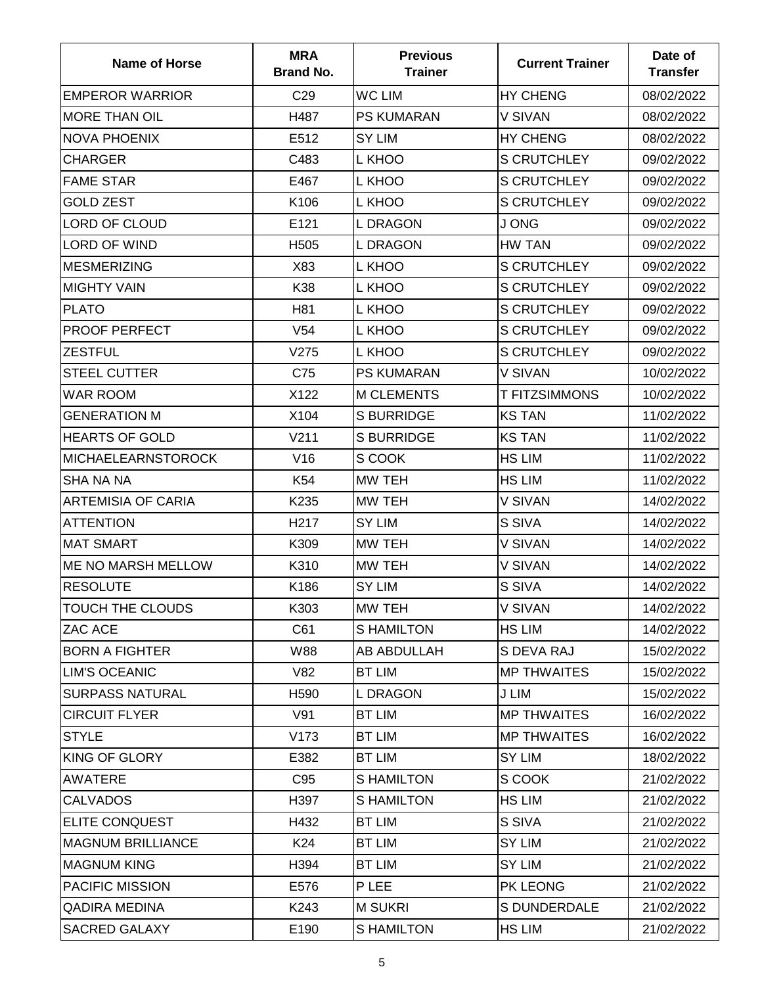| <b>Name of Horse</b>      | <b>MRA</b><br><b>Brand No.</b> | <b>Previous</b><br><b>Trainer</b> | <b>Current Trainer</b> | Date of<br><b>Transfer</b> |
|---------------------------|--------------------------------|-----------------------------------|------------------------|----------------------------|
| <b>EMPEROR WARRIOR</b>    | C <sub>29</sub>                | <b>WC LIM</b>                     | <b>HY CHENG</b>        | 08/02/2022                 |
| <b>MORE THAN OIL</b>      | H487                           | <b>PS KUMARAN</b>                 | V SIVAN                | 08/02/2022                 |
| <b>NOVA PHOENIX</b>       | E512                           | SY LIM                            | <b>HY CHENG</b>        | 08/02/2022                 |
| <b>CHARGER</b>            | C483                           | L KHOO                            | <b>S CRUTCHLEY</b>     | 09/02/2022                 |
| <b>FAME STAR</b>          | E467                           | L KHOO                            | <b>S CRUTCHLEY</b>     | 09/02/2022                 |
| <b>GOLD ZEST</b>          | K106                           | L KHOO                            | S CRUTCHLEY            | 09/02/2022                 |
| LORD OF CLOUD             | E121                           | <b>L DRAGON</b>                   | J ONG                  | 09/02/2022                 |
| <b>LORD OF WIND</b>       | H <sub>505</sub>               | <b>L DRAGON</b>                   | <b>HW TAN</b>          | 09/02/2022                 |
| <b>MESMERIZING</b>        | X83                            | L KHOO                            | <b>S CRUTCHLEY</b>     | 09/02/2022                 |
| <b>MIGHTY VAIN</b>        | K38                            | L KHOO                            | <b>S CRUTCHLEY</b>     | 09/02/2022                 |
| <b>PLATO</b>              | H81                            | L KHOO                            | <b>S CRUTCHLEY</b>     | 09/02/2022                 |
| PROOF PERFECT             | V <sub>54</sub>                | L KHOO                            | <b>S CRUTCHLEY</b>     | 09/02/2022                 |
| <b>ZESTFUL</b>            | V275                           | L KHOO                            | <b>S CRUTCHLEY</b>     | 09/02/2022                 |
| <b>STEEL CUTTER</b>       | C75                            | <b>PS KUMARAN</b>                 | V SIVAN                | 10/02/2022                 |
| <b>WAR ROOM</b>           | X122                           | <b>M CLEMENTS</b>                 | <b>T FITZSIMMONS</b>   | 10/02/2022                 |
| <b>GENERATION M</b>       | X104                           | <b>S BURRIDGE</b>                 | <b>KS TAN</b>          | 11/02/2022                 |
| <b>HEARTS OF GOLD</b>     | V <sub>211</sub>               | <b>S BURRIDGE</b>                 | <b>KS TAN</b>          | 11/02/2022                 |
| <b>MICHAELEARNSTOROCK</b> | V16                            | S COOK                            | <b>HS LIM</b>          | 11/02/2022                 |
| SHA NA NA                 | K54                            | <b>MW TEH</b>                     | <b>HS LIM</b>          | 11/02/2022                 |
| <b>ARTEMISIA OF CARIA</b> | K235                           | <b>MW TEH</b>                     | V SIVAN                | 14/02/2022                 |
| <b>ATTENTION</b>          | H <sub>217</sub>               | <b>SY LIM</b>                     | S SIVA                 | 14/02/2022                 |
| <b>MAT SMART</b>          | K309                           | <b>MW TEH</b>                     | V SIVAN                | 14/02/2022                 |
| <b>ME NO MARSH MELLOW</b> | K310                           | <b>MW TEH</b>                     | V SIVAN                | 14/02/2022                 |
| <b>RESOLUTE</b>           | K186                           | <b>SY LIM</b>                     | S SIVA                 | 14/02/2022                 |
| <b>TOUCH THE CLOUDS</b>   | K303                           | MW TEH                            | <b>V SIVAN</b>         | 14/02/2022                 |
| ZAC ACE                   | C61                            | <b>S HAMILTON</b>                 | <b>HS LIM</b>          | 14/02/2022                 |
| <b>BORN A FIGHTER</b>     | W88                            | AB ABDULLAH                       | S DEVA RAJ             | 15/02/2022                 |
| <b>LIM'S OCEANIC</b>      | <b>V82</b>                     | <b>BT LIM</b>                     | <b>MP THWAITES</b>     | 15/02/2022                 |
| <b>SURPASS NATURAL</b>    | H <sub>590</sub>               | <b>L DRAGON</b>                   | J LIM                  | 15/02/2022                 |
| <b>CIRCUIT FLYER</b>      | V91                            | <b>BT LIM</b>                     | <b>MP THWAITES</b>     | 16/02/2022                 |
| <b>STYLE</b>              | V173                           | <b>BT LIM</b>                     | <b>MP THWAITES</b>     | 16/02/2022                 |
| <b>KING OF GLORY</b>      | E382                           | <b>BT LIM</b>                     | SY LIM                 | 18/02/2022                 |
| <b>AWATERE</b>            | C95                            | <b>SHAMILTON</b>                  | S COOK                 | 21/02/2022                 |
| <b>CALVADOS</b>           | H397                           | <b>SHAMILTON</b>                  | <b>HS LIM</b>          | 21/02/2022                 |
| <b>ELITE CONQUEST</b>     | H432                           | <b>BT LIM</b>                     | S SIVA                 | 21/02/2022                 |
| <b>MAGNUM BRILLIANCE</b>  | K24                            | <b>BT LIM</b>                     | <b>SY LIM</b>          | 21/02/2022                 |
| <b>MAGNUM KING</b>        | H394                           | <b>BT LIM</b>                     | SY LIM                 | 21/02/2022                 |
| PACIFIC MISSION           | E576                           | <b>PLEE</b>                       | PK LEONG               | 21/02/2022                 |
| <b>QADIRA MEDINA</b>      | K243                           | <b>M SUKRI</b>                    | S DUNDERDALE           | 21/02/2022                 |
| <b>SACRED GALAXY</b>      | E190                           | <b>SHAMILTON</b>                  | <b>HS LIM</b>          | 21/02/2022                 |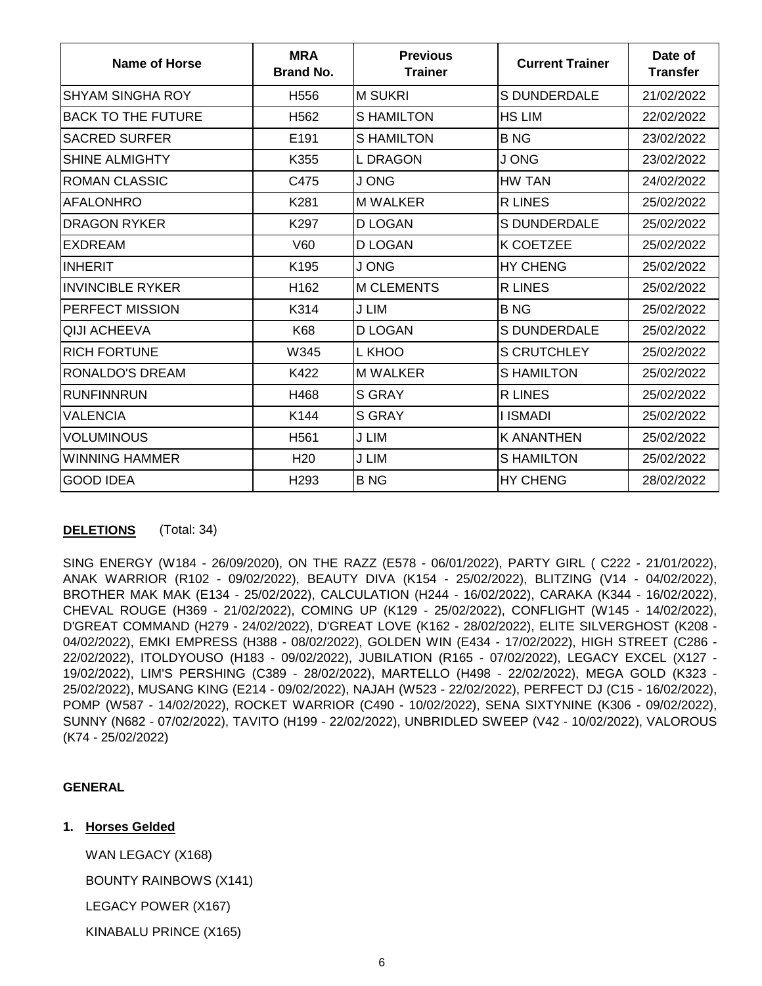| Name of Horse             | <b>MRA</b><br><b>Brand No.</b> | <b>Previous</b><br><b>Trainer</b> | <b>Current Trainer</b> | Date of<br><b>Transfer</b> |
|---------------------------|--------------------------------|-----------------------------------|------------------------|----------------------------|
| <b>SHYAM SINGHA ROY</b>   | H <sub>556</sub>               | <b>M SUKRI</b>                    | <b>S DUNDERDALE</b>    | 21/02/2022                 |
| <b>BACK TO THE FUTURE</b> | H <sub>562</sub>               | <b>SHAMILTON</b>                  | <b>HS LIM</b>          | 22/02/2022                 |
| <b>SACRED SURFER</b>      | E191                           | <b>SHAMILTON</b>                  | <b>BNG</b>             | 23/02/2022                 |
| <b>SHINE ALMIGHTY</b>     | K355                           | <b>L DRAGON</b>                   | J ONG                  | 23/02/2022                 |
| <b>ROMAN CLASSIC</b>      | C475                           | J ONG                             | <b>HW TAN</b>          | 24/02/2022                 |
| <b>AFALONHRO</b>          | K281                           | <b>M WALKER</b>                   | <b>R LINES</b>         | 25/02/2022                 |
| <b>DRAGON RYKER</b>       | K297                           | <b>D LOGAN</b>                    | <b>S DUNDERDALE</b>    | 25/02/2022                 |
| <b>EXDREAM</b>            | V60                            | <b>D LOGAN</b>                    | <b>K COETZEE</b>       | 25/02/2022                 |
| <b>INHERIT</b>            | K195                           | <b>JONG</b>                       | <b>HY CHENG</b>        | 25/02/2022                 |
| <b>INVINCIBLE RYKER</b>   | H162                           | <b>M CLEMENTS</b>                 | <b>R LINES</b>         | 25/02/2022                 |
| PERFECT MISSION           | K314                           | J LIM                             | <b>BNG</b>             | 25/02/2022                 |
| QIJI ACHEEVA              | K68                            | <b>D LOGAN</b>                    | <b>S DUNDERDALE</b>    | 25/02/2022                 |
| <b>RICH FORTUNE</b>       | W345                           | L KHOO                            | <b>S CRUTCHLEY</b>     | 25/02/2022                 |
| RONALDO'S DREAM           | K422                           | <b>M WALKER</b>                   | <b>SHAMILTON</b>       | 25/02/2022                 |
| <b>RUNFINNRUN</b>         | H468                           | <b>S GRAY</b>                     | <b>R LINES</b>         | 25/02/2022                 |
| VALENCIA                  | K144                           | <b>S GRAY</b>                     | <b>I ISMADI</b>        | 25/02/2022                 |
| VOLUMINOUS                | H561                           | J LIM                             | <b>K ANANTHEN</b>      | 25/02/2022                 |
| WINNING HAMMER            | H <sub>20</sub>                | J LIM                             | <b>S HAMILTON</b>      | 25/02/2022                 |
| <b>GOOD IDEA</b>          | H <sub>293</sub>               | <b>BNG</b>                        | <b>HY CHENG</b>        | 28/02/2022                 |

# **DELETIONS** (Total: 34)

SING ENERGY (W184 - 26/09/2020), ON THE RAZZ (E578 - 06/01/2022), PARTY GIRL ( C222 - 21/01/2022), ANAK WARRIOR (R102 - 09/02/2022), BEAUTY DIVA (K154 - 25/02/2022), BLITZING (V14 - 04/02/2022), BROTHER MAK MAK (E134 - 25/02/2022), CALCULATION (H244 - 16/02/2022), CARAKA (K344 - 16/02/2022), CHEVAL ROUGE (H369 - 21/02/2022), COMING UP (K129 - 25/02/2022), CONFLIGHT (W145 - 14/02/2022), D'GREAT COMMAND (H279 - 24/02/2022), D'GREAT LOVE (K162 - 28/02/2022), ELITE SILVERGHOST (K208 - 04/02/2022), EMKI EMPRESS (H388 - 08/02/2022), GOLDEN WIN (E434 - 17/02/2022), HIGH STREET (C286 - 22/02/2022), ITOLDYOUSO (H183 - 09/02/2022), JUBILATION (R165 - 07/02/2022), LEGACY EXCEL (X127 - 19/02/2022), LIM'S PERSHING (C389 - 28/02/2022), MARTELLO (H498 - 22/02/2022), MEGA GOLD (K323 - 25/02/2022), MUSANG KING (E214 - 09/02/2022), NAJAH (W523 - 22/02/2022), PERFECT DJ (C15 - 16/02/2022), POMP (W587 - 14/02/2022), ROCKET WARRIOR (C490 - 10/02/2022), SENA SIXTYNINE (K306 - 09/02/2022), SUNNY (N682 - 07/02/2022), TAVITO (H199 - 22/02/2022), UNBRIDLED SWEEP (V42 - 10/02/2022), VALOROUS (K74 - 25/02/2022)

# **GENERAL**

# **1. Horses Gelded**

WAN LEGACY (X168)

BOUNTY RAINBOWS (X141)

LEGACY POWER (X167)

KINABALU PRINCE (X165)